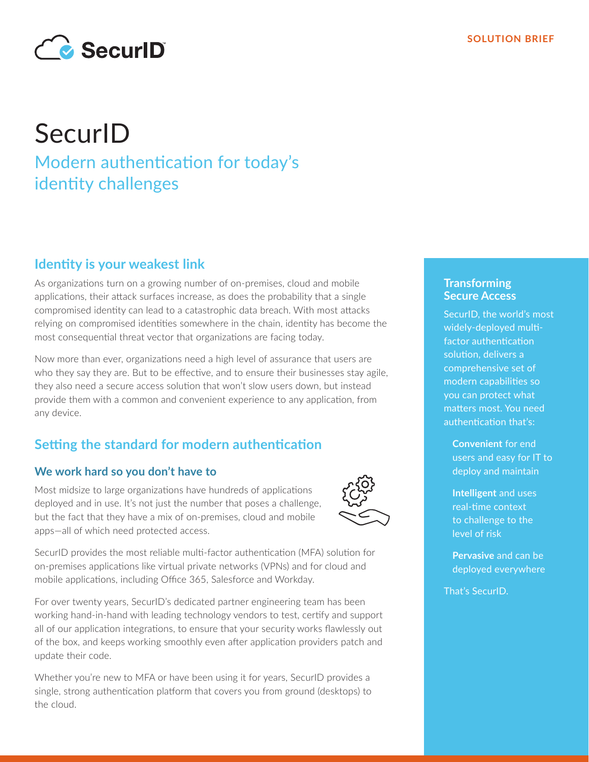

# **SecurID** Modern authentication for today's identity challenges

## **Identity is your weakest link**

As organizations turn on a growing number of on-premises, cloud and mobile applications, their attack surfaces increase, as does the probability that a single compromised identity can lead to a catastrophic data breach. With most attacks relying on compromised identities somewhere in the chain, identity has become the most consequential threat vector that organizations are facing today.

Now more than ever, organizations need a high level of assurance that users are who they say they are. But to be effective, and to ensure their businesses stay agile, they also need a secure access solution that won't slow users down, but instead provide them with a common and convenient experience to any application, from any device.

## **Setting the standard for modern authentication**

#### **We work hard so you don't have to**

Most midsize to large organizations have hundreds of applications deployed and in use. It's not just the number that poses a challenge, but the fact that they have a mix of on-premises, cloud and mobile apps—all of which need protected access.



SecurID provides the most reliable multi-factor authentication (MFA) solution for on-premises applications like virtual private networks (VPNs) and for cloud and mobile applications, including Office 365, Salesforce and Workday.

For over twenty years, SecurID's dedicated partner engineering team has been working hand-in-hand with leading technology vendors to test, certify and support all of our application integrations, to ensure that your security works flawlessly out of the box, and keeps working smoothly even after application providers patch and update their code.

Whether you're new to MFA or have been using it for years, SecurID provides a single, strong authentication platform that covers you from ground (desktops) to the cloud.

#### **Transforming Secure Access**

SecurID, the world's most widely-deployed multifactor authentication solution, delivers a comprehensive set of modern capabilities so you can protect what matters most. You need authentication that's:

**Convenient** for end users and easy for IT to deploy and maintain

**Intelligent** and uses real-time context to challenge to the level of risk

**Pervasive** and can be deployed everywhere

That's SecurID.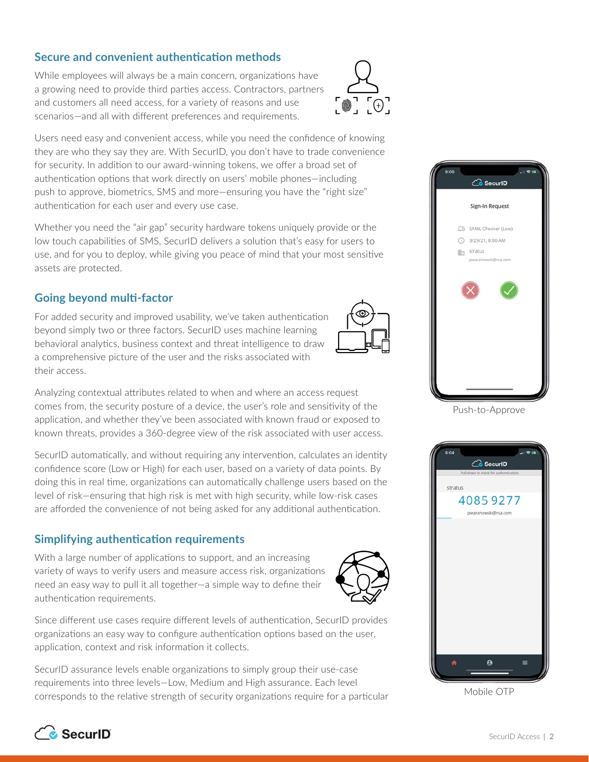#### **Secure and convenient authentication methods**

While employees will always be a main concern, organizations have a growing need to provide third parties access. Contractors, partners and customers all need access, for a variety of reasons and use scenarios—and all with different preferences and requirements.



Users need easy and convenient access, while you need the confidence of knowing they are who they say they are. With SecurID, you don't have to trade convenience for security. In addition to our award-winning tokens, we offer a broad set of authentication options that work directly on users' mobile phones—including push to approve, biometrics, SMS and more—ensuring you have the "right size" authentication for each user and every use case.

Whether you need the "air gap" security hardware tokens uniquely provide or the low touch capabilities of SMS, SecurID delivers a solution that's easy for users to use, and for you to deploy, while giving you peace of mind that your most sensitive assets are protected.

#### **Going beyond multi-factor**

For added security and improved usability, we've taken authentication beyond simply two or three factors. SecurID uses machine learning behavioral analytics, business context and threat intelligence to draw a comprehensive picture of the user and the risks associated with their access.



Analyzing contextual attributes related to when and where an access request comes from, the security posture of a device, the user's role and sensitivity of the application, and whether they've been associated with known fraud or exposed to known threats, provides a 360-degree view of the risk associated with user access.

SecurID automatically, and without requiring any intervention, calculates an identity confidence score (Low or High) for each user, based on a variety of data points. By doing this in real time, organizations can automatically challenge users based on the level of risk—ensuring that high risk is met with high security, while low-risk cases are afforded the convenience of not being asked for any additional authentication.

#### **Simplifying authentication requirements**

With a large number of applications to support, and an increasing variety of ways to verify users and measure access risk, organizations need an easy way to pull it all together—a simple way to define their authentication requirements.



Since different use cases require different levels of authentication, SecurID provides organizations an easy way to configure authentication options based on the user, application, context and risk information it collects.

SecurID assurance levels enable organizations to simply group their use-case requirements into three levels—Low, Medium and High assurance. Each level corresponds to the relative strength of security organizations require for a particular



Push-to-Approve



Mobile OTP

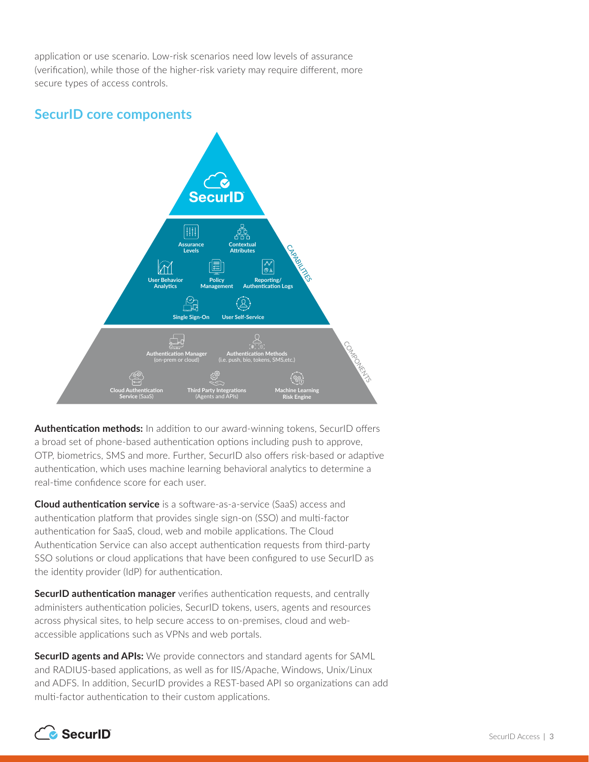application or use scenario. Low-risk scenarios need low levels of assurance (verification), while those of the higher-risk variety may require different, more secure types of access controls.

### **SecurID core components**



**Authentication methods:** In addition to our award-winning tokens, SecurID offers a broad set of phone-based authentication options including push to approve, OTP, biometrics, SMS and more. Further, SecurID also offers risk-based or adaptive authentication, which uses machine learning behavioral analytics to determine a real-time confidence score for each user.

**Cloud authentication service** is a software-as-a-service (SaaS) access and authentication platform that provides single sign-on (SSO) and multi-factor authentication for SaaS, cloud, web and mobile applications. The Cloud Authentication Service can also accept authentication requests from third-party SSO solutions or cloud applications that have been configured to use SecurID as the identity provider (IdP) for authentication.

**SecurID authentication manager** verifies authentication requests, and centrally administers authentication policies, SecurID tokens, users, agents and resources across physical sites, to help secure access to on-premises, cloud and webaccessible applications such as VPNs and web portals.

**SecurID agents and APIs:** We provide connectors and standard agents for SAML and RADIUS-based applications, as well as for IIS/Apache, Windows, Unix/Linux and ADFS. In addition, SecurID provides a REST-based API so organizations can add multi-factor authentication to their custom applications.